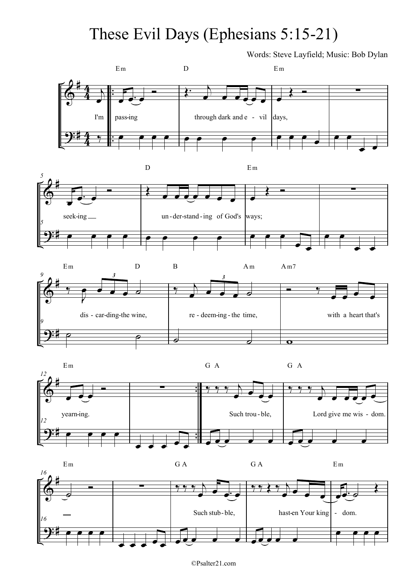## These Evil Days (Ephesians 5:15-21)

Words: Steve Layfield; Music: Bob Dylan